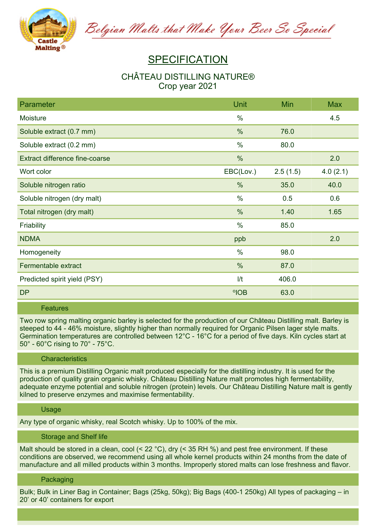

Belgian Malts that Make Your Beer So Special

# **SPECIFICATION**

## **CHÂTEAU DISTILLING NATURE® Crop year 2021**

| Parameter                             | <b>Unit</b>    | Min      | <b>Max</b> |
|---------------------------------------|----------------|----------|------------|
| Moisture                              | $\%$           |          | 4.5        |
| Soluble extract (0.7 mm)              | $\frac{0}{0}$  | 76.0     |            |
| Soluble extract (0.2 mm)              | $\%$           | 80.0     |            |
| <b>Extract difference fine-coarse</b> | $\%$           |          | 2.0        |
| Wort color                            | EBC(Lov.)      | 2.5(1.5) | 4.0(2.1)   |
| Soluble nitrogen ratio                | %              | 35.0     | 40.0       |
| Soluble nitrogen (dry malt)           | $\%$           | 0.5      | 0.6        |
| Total nitrogen (dry malt)             | $\%$           | 1.40     | 1.65       |
| Friability                            | $\%$           | 85.0     |            |
| <b>NDMA</b>                           | ppb            |          | 2.0        |
| Homogeneity                           | $\%$           | 98.0     |            |
| Fermentable extract                   | $\frac{0}{0}$  | 87.0     |            |
| Predicted spirit yield (PSY)          | 1/t            | 406.0    |            |
| <b>DP</b>                             | $^{\circ}$ IOB | 63.0     |            |

#### **Features**

Two row spring malting organic barley is selected for the production of our Château Distilling malt. Barley is steeped to 44 - 46% moisture, slightly higher than normally required for Organic Pilsen lager style malts. Germination temperatures are controlled between 12°C - 16°C for a period of five days. Kiln cycles start at **50° - 60°C rising to 70° - 75°C.**

#### **Characteristics**

This is a premium Distilling Organic malt produced especially for the distilling industry. It is used for the **production of quality grain organic whisky. Château Distilling Nature malt promotes high fermentability, adequate enzyme potential and soluble nitrogen (protein) levels. Our Château Distilling Nature malt is gently kilned to preserve enzymes and maximise fermentability.**

#### **Usage**

**Any type of organic whisky, real Scotch whisky. Up to 100% of the mix.**

#### **Storage and Shelf life**

Malt should be stored in a clean, cool (< 22 °C), dry (< 35 RH %) and pest free environment. If these **conditions are observed, we recommend using all whole kernel products within 24 months from the date of manufacture and all milled products within 3 months. Improperly stored malts can lose freshness and flavor.**

### **Packaging**

Bulk; Bulk in Liner Bag in Container; Bags (25kg, 50kg); Big Bags (400-1 250kg) All types of packaging – in **20' or 40' containers for export**